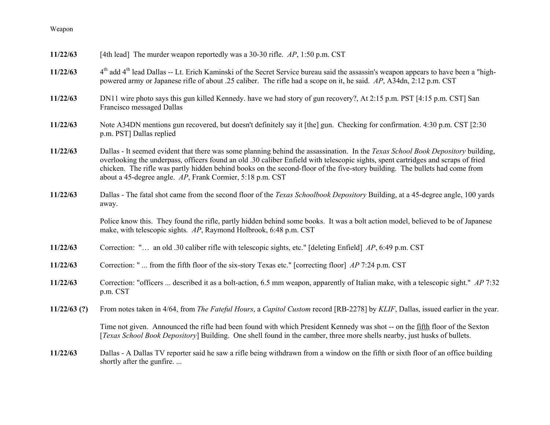| 11/22/63       | [4th lead] The murder weapon reportedly was a 30-30 rifle. $AP$ , 1:50 p.m. CST                                                                                                                                                                                                                                                                                                                                                                                  |
|----------------|------------------------------------------------------------------------------------------------------------------------------------------------------------------------------------------------------------------------------------------------------------------------------------------------------------------------------------------------------------------------------------------------------------------------------------------------------------------|
| 11/22/63       | 4 <sup>th</sup> add 4 <sup>th</sup> lead Dallas -- Lt. Erich Kaminski of the Secret Service bureau said the assassin's weapon appears to have been a "high-<br>powered army or Japanese rifle of about .25 caliber. The rifle had a scope on it, he said. AP, A34dn, 2:12 p.m. CST                                                                                                                                                                               |
| 11/22/63       | DN11 wire photo says this gun killed Kennedy. have we had story of gun recovery?, At 2:15 p.m. PST [4:15 p.m. CST] San<br>Francisco messaged Dallas                                                                                                                                                                                                                                                                                                              |
| 11/22/63       | Note A34DN mentions gun recovered, but doesn't definitely say it [the] gun. Checking for confirmation. 4:30 p.m. CST [2:30]<br>p.m. PST] Dallas replied                                                                                                                                                                                                                                                                                                          |
| 11/22/63       | Dallas - It seemed evident that there was some planning behind the assassination. In the Texas School Book Depository building,<br>overlooking the underpass, officers found an old .30 caliber Enfield with telescopic sights, spent cartridges and scraps of fried<br>chicken. The rifle was partly hidden behind books on the second-floor of the five-story building. The bullets had come from<br>about a 45-degree angle. AP, Frank Cormier, 5:18 p.m. CST |
| 11/22/63       | Dallas - The fatal shot came from the second floor of the <i>Texas Schoolbook Depository</i> Building, at a 45-degree angle, 100 yards<br>away.                                                                                                                                                                                                                                                                                                                  |
|                | Police know this. They found the rifle, partly hidden behind some books. It was a bolt action model, believed to be of Japanese<br>make, with telescopic sights. AP, Raymond Holbrook, 6:48 p.m. CST                                                                                                                                                                                                                                                             |
| 11/22/63       | Correction: " an old .30 caliber rifle with telescopic sights, etc." [deleting Enfield] AP, 6:49 p.m. CST                                                                                                                                                                                                                                                                                                                                                        |
| 11/22/63       | Correction: " from the fifth floor of the six-story Texas etc." [correcting floor] $AP$ 7:24 p.m. CST                                                                                                                                                                                                                                                                                                                                                            |
| 11/22/63       | Correction: "officers  described it as a bolt-action, 6.5 mm weapon, apparently of Italian make, with a telescopic sight." AP 7:32<br>p.m. CST                                                                                                                                                                                                                                                                                                                   |
| $11/22/63$ (?) | From notes taken in 4/64, from <i>The Fateful Hours</i> , a <i>Capitol Custom</i> record [RB-2278] by <i>KLIF</i> , Dallas, issued earlier in the year.                                                                                                                                                                                                                                                                                                          |
|                | Time not given. Announced the rifle had been found with which President Kennedy was shot -- on the fifth floor of the Sexton<br>[Texas School Book Depository] Building. One shell found in the camber, three more shells nearby, just husks of bullets.                                                                                                                                                                                                         |
| 11/22/63       | Dallas - A Dallas TV reporter said he saw a rifle being withdrawn from a window on the fifth or sixth floor of an office building<br>shortly after the gunfire                                                                                                                                                                                                                                                                                                   |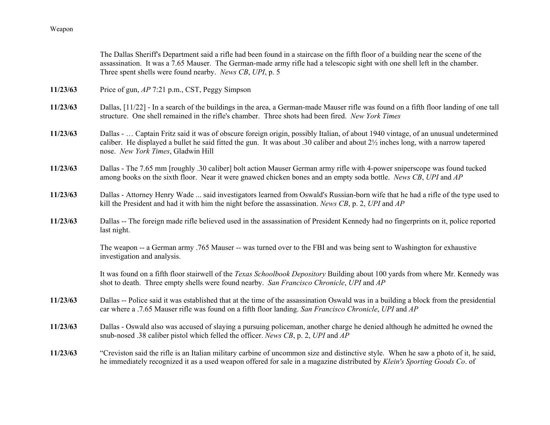|          | The Dallas Sheriff's Department said a rifle had been found in a staircase on the fifth floor of a building near the scene of the<br>assassination. It was a 7.65 Mauser. The German-made army rifle had a telescopic sight with one shell left in the chamber.<br>Three spent shells were found nearby. News CB, UPI, p. 5            |
|----------|----------------------------------------------------------------------------------------------------------------------------------------------------------------------------------------------------------------------------------------------------------------------------------------------------------------------------------------|
| 11/23/63 | Price of gun, AP 7:21 p.m., CST, Peggy Simpson                                                                                                                                                                                                                                                                                         |
| 11/23/63 | Dallas, [11/22] - In a search of the buildings in the area, a German-made Mauser rifle was found on a fifth floor landing of one tall<br>structure. One shell remained in the rifle's chamber. Three shots had been fired. New York Times                                                                                              |
| 11/23/63 | Dallas -  Captain Fritz said it was of obscure foreign origin, possibly Italian, of about 1940 vintage, of an unusual undetermined<br>caliber. He displayed a bullet he said fitted the gun. It was about .30 caliber and about 2 <sup>1</sup> / <sub>2</sub> inches long, with a narrow tapered<br>nose. New York Times, Gladwin Hill |
| 11/23/63 | Dallas - The 7.65 mm [roughly .30 caliber] bolt action Mauser German army rifle with 4-power sniperscope was found tucked<br>among books on the sixth floor. Near it were gnawed chicken bones and an empty soda bottle. News CB, UPI and AP                                                                                           |
| 11/23/63 | Dallas - Attorney Henry Wade  said investigators learned from Oswald's Russian-born wife that he had a rifle of the type used to<br>kill the President and had it with him the night before the assassination. News CB, p. 2, UPI and $AP$                                                                                             |
| 11/23/63 | Dallas -- The foreign made rifle believed used in the assassination of President Kennedy had no fingerprints on it, police reported<br>last night.                                                                                                                                                                                     |
|          | The weapon -- a German army .765 Mauser -- was turned over to the FBI and was being sent to Washington for exhaustive<br>investigation and analysis.                                                                                                                                                                                   |
|          | It was found on a fifth floor stairwell of the Texas Schoolbook Depository Building about 100 yards from where Mr. Kennedy was<br>shot to death. Three empty shells were found nearby. San Francisco Chronicle, UPI and AP                                                                                                             |
| 11/23/63 | Dallas -- Police said it was established that at the time of the assassination Oswald was in a building a block from the presidential<br>car where a .7.65 Mauser rifle was found on a fifth floor landing. San Francisco Chronicle, UPI and AP                                                                                        |
| 11/23/63 | Dallas - Oswald also was accused of slaying a pursuing policeman, another charge he denied although he admitted he owned the<br>snub-nosed .38 caliber pistol which felled the officer. News CB, p. 2, UPI and AP                                                                                                                      |
| 11/23/63 | "Creviston said the rifle is an Italian military carbine of uncommon size and distinctive style. When he saw a photo of it, he said,<br>he immediately recognized it as a used weapon offered for sale in a magazine distributed by Klein's Sporting Goods Co. of                                                                      |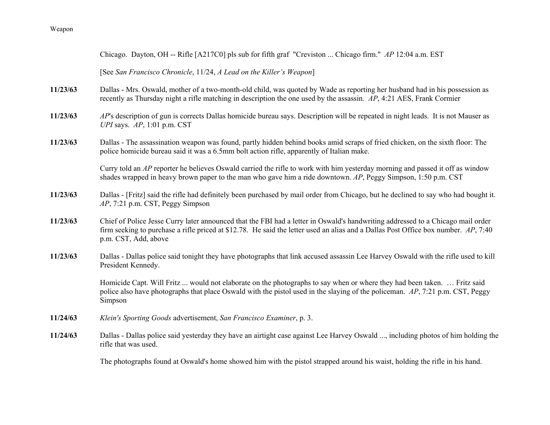|          | Chicago. Dayton, OH -- Rifle [A217C0] pls sub for fifth graf "Creviston  Chicago firm." AP 12:04 a.m. EST                                                                                                                                                                                        |
|----------|--------------------------------------------------------------------------------------------------------------------------------------------------------------------------------------------------------------------------------------------------------------------------------------------------|
|          | [See San Francisco Chronicle, 11/24, A Lead on the Killer's Weapon]                                                                                                                                                                                                                              |
| 11/23/63 | Dallas - Mrs. Oswald, mother of a two-month-old child, was quoted by Wade as reporting her husband had in his possession as<br>recently as Thursday night a rifle matching in description the one used by the assassin. AP, 4:21 AES, Frank Cormier                                              |
| 11/23/63 | AP's description of gun is corrects Dallas homicide bureau says. Description will be repeated in night leads. It is not Mauser as<br>UPI says. $AP$ , 1:01 p.m. CST                                                                                                                              |
| 11/23/63 | Dallas - The assassination weapon was found, partly hidden behind books amid scraps of fried chicken, on the sixth floor: The<br>police homicide bureau said it was a 6.5mm bolt action rifle, apparently of Italian make.                                                                       |
|          | Curry told an AP reporter he believes Oswald carried the rifle to work with him yesterday morning and passed it off as window<br>shades wrapped in heavy brown paper to the man who gave him a ride downtown. $AP$ , Peggy Simpson, 1:50 p.m. CST                                                |
| 11/23/63 | Dallas - [Fritz] said the rifle had definitely been purchased by mail order from Chicago, but he declined to say who had bought it.<br>$AP$ , 7:21 p.m. CST, Peggy Simpson                                                                                                                       |
| 11/23/63 | Chief of Police Jesse Curry later announced that the FBI had a letter in Oswald's handwriting addressed to a Chicago mail order<br>firm seeking to purchase a rifle priced at \$12.78. He said the letter used an alias and a Dallas Post Office box number. $AP$ , 7:40<br>p.m. CST, Add, above |
| 11/23/63 | Dallas - Dallas police said tonight they have photographs that link accused assassin Lee Harvey Oswald with the rifle used to kill<br>President Kennedy.                                                                                                                                         |
|          | Homicide Capt. Will Fritz  would not elaborate on the photographs to say when or where they had been taken.  Fritz said<br>police also have photographs that place Oswald with the pistol used in the slaying of the policeman. AP, 7:21 p.m. CST, Peggy<br>Simpson                              |
| 11/24/63 | Klein's Sporting Goods advertisement, San Francisco Examiner, p. 3.                                                                                                                                                                                                                              |
| 11/24/63 | Dallas - Dallas police said yesterday they have an airtight case against Lee Harvey Oswald , including photos of him holding the<br>rifle that was used.                                                                                                                                         |
|          | $\mathbf{T}^{1}$ , alergende $\mathcal{C}$ , alergende la maria de la maria de la maria de la maria de la maria de la maria de la maria de la maria                                                                                                                                              |

The photographs found at Oswald's home showed him with the pistol strapped around his waist, holding the rifle in his hand.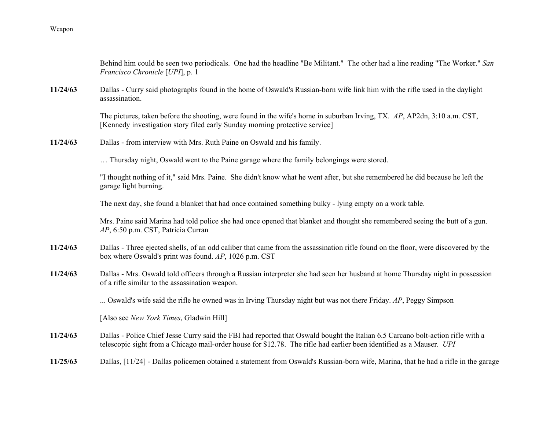|          | Behind him could be seen two periodicals. One had the headline "Be Militant." The other had a line reading "The Worker." San<br>Francisco Chronicle [UPI], p. 1                                                                                                |
|----------|----------------------------------------------------------------------------------------------------------------------------------------------------------------------------------------------------------------------------------------------------------------|
| 11/24/63 | Dallas - Curry said photographs found in the home of Oswald's Russian-born wife link him with the rifle used in the daylight<br>assassination.                                                                                                                 |
|          | The pictures, taken before the shooting, were found in the wife's home in suburban Irving, TX. AP, AP2dn, 3:10 a.m. CST,<br>[Kennedy investigation story filed early Sunday morning protective service]                                                        |
| 11/24/63 | Dallas - from interview with Mrs. Ruth Paine on Oswald and his family.                                                                                                                                                                                         |
|          | Thursday night, Oswald went to the Paine garage where the family belongings were stored.                                                                                                                                                                       |
|          | "I thought nothing of it," said Mrs. Paine. She didn't know what he went after, but she remembered he did because he left the<br>garage light burning.                                                                                                         |
|          | The next day, she found a blanket that had once contained something bulky - lying empty on a work table.                                                                                                                                                       |
|          | Mrs. Paine said Marina had told police she had once opened that blanket and thought she remembered seeing the butt of a gun.<br>AP, 6:50 p.m. CST, Patricia Curran                                                                                             |
| 11/24/63 | Dallas - Three ejected shells, of an odd caliber that came from the assassination rifle found on the floor, were discovered by the<br>box where Oswald's print was found. AP, 1026 p.m. CST                                                                    |
| 11/24/63 | Dallas - Mrs. Oswald told officers through a Russian interpreter she had seen her husband at home Thursday night in possession<br>of a rifle similar to the assassination weapon.                                                                              |
|          | Oswald's wife said the rifle he owned was in Irving Thursday night but was not there Friday. AP, Peggy Simpson                                                                                                                                                 |
|          | [Also see New York Times, Gladwin Hill]                                                                                                                                                                                                                        |
| 11/24/63 | Dallas - Police Chief Jesse Curry said the FBI had reported that Oswald bought the Italian 6.5 Carcano bolt-action rifle with a<br>telescopic sight from a Chicago mail-order house for \$12.78. The rifle had earlier been identified as a Mauser. <i>UPI</i> |
| 11/25/63 | Dallas, [11/24] - Dallas policemen obtained a statement from Oswald's Russian-born wife, Marina, that he had a rifle in the garage                                                                                                                             |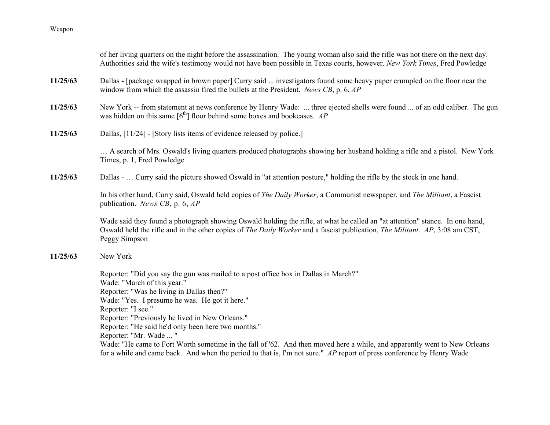|          | of her living quarters on the night before the assassination. The young woman also said the rifle was not there on the next day.<br>Authorities said the wife's testimony would not have been possible in Texas courts, however. New York Times, Fred Powledge                                                                                                                                                                                                                                           |
|----------|----------------------------------------------------------------------------------------------------------------------------------------------------------------------------------------------------------------------------------------------------------------------------------------------------------------------------------------------------------------------------------------------------------------------------------------------------------------------------------------------------------|
| 11/25/63 | Dallas - [package wrapped in brown paper] Curry said  investigators found some heavy paper crumpled on the floor near the<br>window from which the assassin fired the bullets at the President. News CB, p. $6$ , $AP$                                                                                                                                                                                                                                                                                   |
| 11/25/63 | New York -- from statement at news conference by Henry Wade:  three ejected shells were found  of an odd caliber. The gun<br>was hidden on this same $[6th]$ floor behind some boxes and bookcases. AP                                                                                                                                                                                                                                                                                                   |
| 11/25/63 | Dallas, [11/24] - [Story lists items of evidence released by police.]                                                                                                                                                                                                                                                                                                                                                                                                                                    |
|          | A search of Mrs. Oswald's living quarters produced photographs showing her husband holding a rifle and a pistol. New York<br>Times, p. 1, Fred Powledge                                                                                                                                                                                                                                                                                                                                                  |
| 11/25/63 | Dallas -  Curry said the picture showed Oswald in "at attention posture," holding the rifle by the stock in one hand.                                                                                                                                                                                                                                                                                                                                                                                    |
|          | In his other hand, Curry said, Oswald held copies of The Daily Worker, a Communist newspaper, and The Militant, a Fascist<br>publication. News CB, p. $6, AP$                                                                                                                                                                                                                                                                                                                                            |
|          | Wade said they found a photograph showing Oswald holding the rifle, at what he called an "at attention" stance. In one hand,<br>Oswald held the rifle and in the other copies of The Daily Worker and a fascist publication, The Militant. AP, 3:08 am CST,<br>Peggy Simpson                                                                                                                                                                                                                             |
| 11/25/63 | New York                                                                                                                                                                                                                                                                                                                                                                                                                                                                                                 |
|          | Reporter: "Did you say the gun was mailed to a post office box in Dallas in March?"<br>Wade: "March of this year."<br>Reporter: "Was he living in Dallas then?"<br>Wade: "Yes. I presume he was. He got it here."<br>Reporter: "I see."<br>Reporter: "Previously he lived in New Orleans."<br>Reporter: "He said he'd only been here two months."<br>Reporter: "Mr. Wade  "<br>Wade: "He came to Fort Worth sometime in the fall of '62. And then moved here a while, and apparently went to New Orleans |
|          | for a while and came back. And when the period to that is, I'm not sure." AP report of press conference by Henry Wade                                                                                                                                                                                                                                                                                                                                                                                    |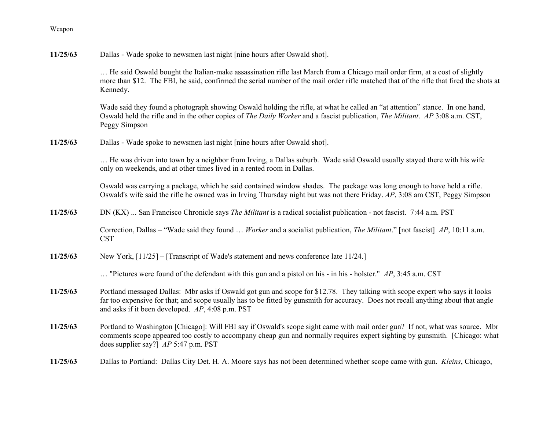| 11/25/63 | Dallas - Wade spoke to newsmen last night [nine hours after Oswald shot]. |  |  |
|----------|---------------------------------------------------------------------------|--|--|
|----------|---------------------------------------------------------------------------|--|--|

… He said Oswald bought the Italian-make assassination rifle last March from a Chicago mail order firm, at a cost of slightly more than \$12. The FBI, he said, confirmed the serial number of the mail order rifle matched that of the rifle that fired the shots at Kennedy.

Wade said they found a photograph showing Oswald holding the rifle, at what he called an "at attention" stance. In one hand, Oswald held the rifle and in the other copies of *The Daily Worker* and a fascist publication, *The Militant*. *AP* 3:08 a.m. CST, Peggy Simpson

**11/25/63**Dallas - Wade spoke to newsmen last night [nine hours after Oswald shot].

> … He was driven into town by a neighbor from Irving, a Dallas suburb. Wade said Oswald usually stayed there with his wife only on weekends, and at other times lived in a rented room in Dallas.

Oswald was carrying a package, which he said contained window shades. The package was long enough to have held a rifle. Oswald's wife said the rifle he owned was in Irving Thursday night but was not there Friday. *AP*, 3:08 am CST, Peggy Simpson

**11/25/63**DN (KX) ... San Francisco Chronicle says *The Militant* is a radical socialist publication - not fascist. 7:44 a.m. PST

> Correction, Dallas – "Wade said they found … *Worker* and a socialist publication, *The Militant*." [not fascist] *AP*, 10:11 a.m. CST

**11/25/63**New York, [11/25] – [Transcript of Wade's statement and news conference late 11/24.]

… "Pictures were found of the defendant with this gun and a pistol on his - in his - holster." *AP*, 3:45 a.m. CST

- **11/25/63** Portland messaged Dallas: Mbr asks if Oswald got gun and scope for \$12.78. They talking with scope expert who says it looks far too expensive for that; and scope usually has to be fitted by gunsmith for accuracy. Does not recall anything about that angle and asks if it been developed. *AP*, 4:08 p.m. PST
- **11/25/63** Portland to Washington [Chicago]: Will FBI say if Oswald's scope sight came with mail order gun? If not, what was source. Mbr comments scope appeared too costly to accompany cheap gun and normally requires expert sighting by gunsmith. [Chicago: what does supplier say?] *AP* 5:47 p.m. PST
- **11/25/63**Dallas to Portland: Dallas City Det. H. A. Moore says has not been determined whether scope came with gun. *Kleins*, Chicago,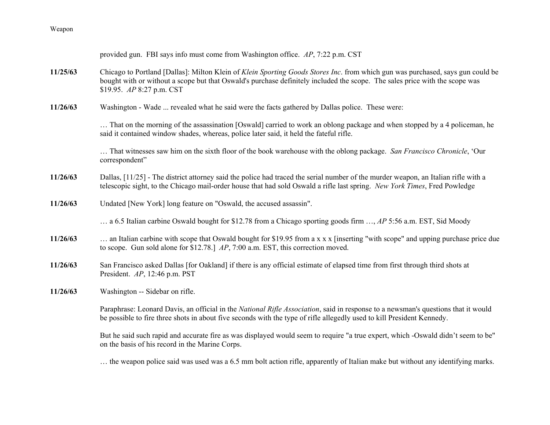| Weapon |
|--------|
|--------|

|          | provided gun. FBI says info must come from Washington office. AP, 7:22 p.m. CST                                                                                                                                                                                                            |
|----------|--------------------------------------------------------------------------------------------------------------------------------------------------------------------------------------------------------------------------------------------------------------------------------------------|
| 11/25/63 | Chicago to Portland [Dallas]: Milton Klein of Klein Sporting Goods Stores Inc. from which gun was purchased, says gun could be<br>bought with or without a scope but that Oswald's purchase definitely included the scope. The sales price with the scope was<br>\$19.95. AP 8:27 p.m. CST |
| 11/26/63 | Washington - Wade  revealed what he said were the facts gathered by Dallas police. These were:                                                                                                                                                                                             |
|          | That on the morning of the assassination [Oswald] carried to work an oblong package and when stopped by a 4 policeman, he<br>said it contained window shades, whereas, police later said, it held the fateful rifle.                                                                       |
|          | That witnesses saw him on the sixth floor of the book warehouse with the oblong package. San Francisco Chronicle, 'Our<br>correspondent"                                                                                                                                                   |
| 11/26/63 | Dallas, $[11/25]$ - The district attorney said the police had traced the serial number of the murder weapon, an Italian rifle with a<br>telescopic sight, to the Chicago mail-order house that had sold Oswald a rifle last spring. New York Times, Fred Powledge                          |
| 11/26/63 | Undated [New York] long feature on "Oswald, the accused assassin".                                                                                                                                                                                                                         |
|          | a 6.5 Italian carbine Oswald bought for \$12.78 from a Chicago sporting goods firm , AP 5:56 a.m. EST, Sid Moody                                                                                                                                                                           |
| 11/26/63 | an Italian carbine with scope that Oswald bought for \$19.95 from a x x x [inserting "with scope" and upping purchase price due<br>to scope. Gun sold alone for \$12.78.] AP, 7:00 a.m. EST, this correction moved.                                                                        |
| 11/26/63 | San Francisco asked Dallas [for Oakland] if there is any official estimate of elapsed time from first through third shots at<br>President. $AP$ , 12:46 p.m. PST                                                                                                                           |
| 11/26/63 | Washington -- Sidebar on rifle.                                                                                                                                                                                                                                                            |
|          | Paraphrase: Leonard Davis, an official in the National Rifle Association, said in response to a newsman's questions that it would<br>be possible to fire three shots in about five seconds with the type of rifle allegedly used to kill President Kennedy.                                |
|          | But he said such rapid and accurate fire as was displayed would seem to require "a true expert, which -Oswald didn't seem to be"<br>on the basis of his record in the Marine Corps.                                                                                                        |

… the weapon police said was used was a 6.5 mm bolt action rifle, apparently of Italian make but without any identifying marks.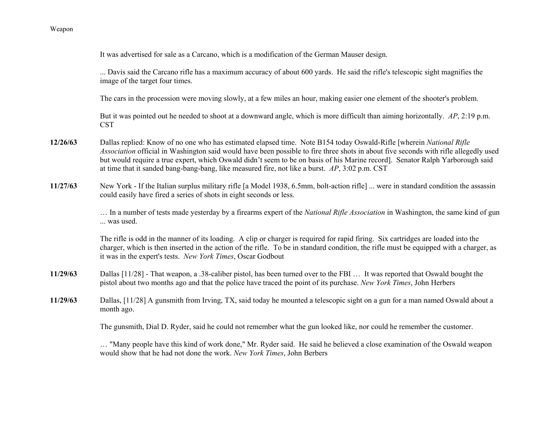... Davis said the Carcano rifle has a maximum accuracy of about 600 yards. He said the rifle's telescopic sight magnifies the image of the target four times. The cars in the procession were moving slowly, at a few miles an hour, making easier one element of the shooter's problem. But it was pointed out he needed to shoot at a downward angle, which is more difficult than aiming horizontally. *AP*, 2:19 p.m. CST**12/26/63** Dallas replied: Know of no one who has estimated elapsed time. Note B154 today Oswald-Rifle [wherein *National Rifle Association* official in Washington said would have been possible to fire three shots in about five seconds with rifle allegedly used but would require a true expert, which Oswald didn't seem to be on basis of his Marine record]. Senator Ralph Yarborough said at time that it sanded bang-bang-bang, like measured fire, not like a burst. *AP*, 3:02 p.m. CST **11/27/63** New York - If the Italian surplus military rifle [a Model 1938, 6.5mm, bolt-action rifle] ... were in standard condition the assassin could easily have fired a series of shots in eight seconds or less. … In a number of tests made yesterday by a firearms expert of the *National Rifle Association* in Washington, the same kind of gun ... was used. The rifle is odd in the manner of its loading. A clip or charger is required for rapid firing. Six cartridges are loaded into the charger, which is then inserted in the action of the rifle. To be in standard condition, the rifle must be equipped with a charger, as it was in the expert's tests. *New York Times*, Oscar Godbout **11/29/63** Dallas [11/28] - That weapon, a .38-caliber pistol, has been turned over to the FBI … It was reported that Oswald bought the pistol about two months ago and that the police have traced the point of its purchase. *New York Times*, John Herbers **11/29/63** Dallas, [11/28] A gunsmith from Irving, TX, said today he mounted a telescopic sight on a gun for a man named Oswald about a month ago. The gunsmith, Dial D. Ryder, said he could not remember what the gun looked like, nor could he remember the customer. … "Many people have this kind of work done," Mr. Ryder said. He said he believed a close examination of the Oswald weapon would show that he had not done the work. *New York Times*, John Berbers

It was advertised for sale as a Carcano, which is a modification of the German Mauser design.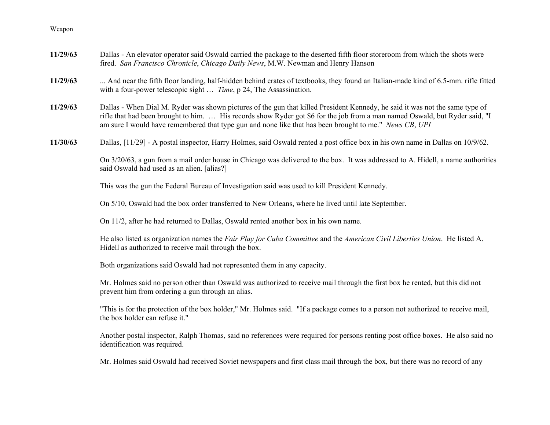| 11/29/63 | Dallas - An elevator operator said Oswald carried the package to the deserted fifth floor storeroom from which the shots were<br>fired. San Francisco Chronicle, Chicago Daily News, M.W. Newman and Henry Hanson                                                                                                                                                     |
|----------|-----------------------------------------------------------------------------------------------------------------------------------------------------------------------------------------------------------------------------------------------------------------------------------------------------------------------------------------------------------------------|
| 11/29/63 | And near the fifth floor landing, half-hidden behind crates of textbooks, they found an Italian-made kind of 6.5-mm. rifle fitted<br>with a four-power telescopic sight  Time, p 24, The Assassination.                                                                                                                                                               |
| 11/29/63 | Dallas - When Dial M. Ryder was shown pictures of the gun that killed President Kennedy, he said it was not the same type of<br>rifle that had been brought to him.  His records show Ryder got \$6 for the job from a man named Oswald, but Ryder said, "I<br>am sure I would have remembered that type gun and none like that has been brought to me." News CB, UPI |
| 11/30/63 | Dallas, [11/29] - A postal inspector, Harry Holmes, said Oswald rented a post office box in his own name in Dallas on 10/9/62.                                                                                                                                                                                                                                        |
|          | On 3/20/63, a gun from a mail order house in Chicago was delivered to the box. It was addressed to A. Hidell, a name authorities<br>said Oswald had used as an alien. [alias?]                                                                                                                                                                                        |
|          | This was the gun the Federal Bureau of Investigation said was used to kill President Kennedy.                                                                                                                                                                                                                                                                         |
|          | On 5/10, Oswald had the box order transferred to New Orleans, where he lived until late September.                                                                                                                                                                                                                                                                    |
|          | On 11/2, after he had returned to Dallas, Oswald rented another box in his own name.                                                                                                                                                                                                                                                                                  |
|          | He also listed as organization names the Fair Play for Cuba Committee and the American Civil Liberties Union. He listed A.<br>Hidell as authorized to receive mail through the box.                                                                                                                                                                                   |
|          | Both organizations said Oswald had not represented them in any capacity.                                                                                                                                                                                                                                                                                              |
|          | Mr. Holmes said no person other than Oswald was authorized to receive mail through the first box he rented, but this did not<br>prevent him from ordering a gun through an alias.                                                                                                                                                                                     |
|          | "This is for the protection of the box holder," Mr. Holmes said. "If a package comes to a person not authorized to receive mail,<br>the box holder can refuse it."                                                                                                                                                                                                    |
|          | Another postal inspector, Ralph Thomas, said no references were required for persons renting post office boxes. He also said no<br>identification was required.                                                                                                                                                                                                       |
|          | Mr. Holmes said Oswald had received Soviet newspapers and first class mail through the box, but there was no record of any                                                                                                                                                                                                                                            |
|          |                                                                                                                                                                                                                                                                                                                                                                       |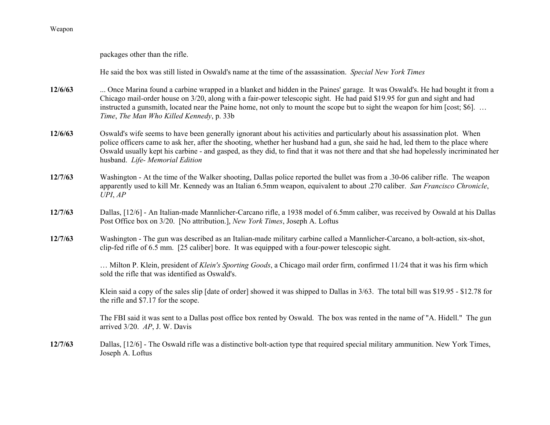packages other than the rifle.

He said the box was still listed in Oswald's name at the time of the assassination. *Special New York Times*

- **12/6/63** ... Once Marina found a carbine wrapped in a blanket and hidden in the Paines' garage. It was Oswald's. He had bought it from a Chicago mail-order house on 3/20, along with a fair-power telescopic sight. He had paid \$19.95 for gun and sight and had instructed a gunsmith, located near the Paine home, not only to mount the scope but to sight the weapon for him [cost; \$6]... *Time*, *The Man Who Killed Kennedy*, p. 33b
- **12/6/63** Oswald's wife seems to have been generally ignorant about his activities and particularly about his assassination plot. When police officers came to ask her, after the shooting, whether her husband had a gun, she said he had, led them to the place where Oswald usually kept his carbine - and gasped, as they did, to find that it was not there and that she had hopelessly incriminated her husband. *Life- Memorial Edition*
- **12/7/63** Washington - At the time of the Walker shooting, Dallas police reported the bullet was from a .30-06 caliber rifle. The weapon apparently used to kill Mr. Kennedy was an Italian 6.5mm weapon, equivalent to about .270 caliber. *San Francisco Chronicle*, *UPI*, *AP*
- **12/7/63** Dallas, [12/6] - An Italian-made Mannlicher-Carcano rifle, a 1938 model of 6.5mm caliber, was received by Oswald at his Dallas Post Office box on 3/20. [No attribution.], *New York Times*, Joseph A. Loftus
- **12/7/63** Washington - The gun was described as an Italian-made military carbine called a Mannlicher-Carcano, a bolt-action, six-shot, clip-fed rifle of 6.5 mm. [25 caliber] bore. It was equipped with a four-power telescopic sight.

… Milton P. Klein, president of *Klein's Sporting Goods*, a Chicago mail order firm, confirmed 11/24 that it was his firm which sold the rifle that was identified as Oswald's.

Klein said a copy of the sales slip [date of order] showed it was shipped to Dallas in 3/63. The total bill was \$19.95 - \$12.78 for the rifle and \$7.17 for the scope.

The FBI said it was sent to a Dallas post office box rented by Oswald. The box was rented in the name of "A. Hidell." The gun arrived 3/20. *AP*, J. W. Davis

**12/7/63** Dallas, [12/6] - The Oswald rifle was a distinctive bolt-action type that required special military ammunition. New York Times, Joseph A. Loftus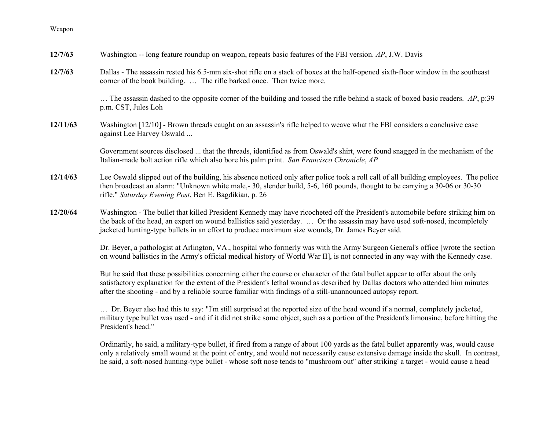| 12/7/63  | Washington -- long feature roundup on weapon, repeats basic features of the FBI version. AP, J.W. Davis                                                                                                                                                                                                                                                                             |
|----------|-------------------------------------------------------------------------------------------------------------------------------------------------------------------------------------------------------------------------------------------------------------------------------------------------------------------------------------------------------------------------------------|
| 12/7/63  | Dallas - The assassin rested his 6.5-mm six-shot rifle on a stack of boxes at the half-opened sixth-floor window in the southeast<br>corner of the book building.  The rifle barked once. Then twice more.                                                                                                                                                                          |
|          | The assassin dashed to the opposite corner of the building and tossed the rifle behind a stack of boxed basic readers. AP, p:39<br>p.m. CST, Jules Loh                                                                                                                                                                                                                              |
| 12/11/63 | Washington $[12/10]$ - Brown threads caught on an assassin's rifle helped to weave what the FBI considers a conclusive case<br>against Lee Harvey Oswald                                                                                                                                                                                                                            |
|          | Government sources disclosed  that the threads, identified as from Oswald's shirt, were found snagged in the mechanism of the<br>Italian-made bolt action rifle which also bore his palm print. San Francisco Chronicle, AP                                                                                                                                                         |
| 12/14/63 | Lee Oswald slipped out of the building, his absence noticed only after police took a roll call of all building employees. The police<br>then broadcast an alarm: "Unknown white male,-30, slender build, 5-6, 160 pounds, thought to be carrying a 30-06 or 30-30<br>rifle." Saturday Evening Post, Ben E. Bagdikian, p. 26                                                         |
| 12/20/64 | Washington - The bullet that killed President Kennedy may have ricocheted off the President's automobile before striking him on<br>the back of the head, an expert on wound ballistics said yesterday.  Or the assassin may have used soft-nosed, incompletely<br>jacketed hunting-type bullets in an effort to produce maximum size wounds, Dr. James Beyer said.                  |
|          | Dr. Beyer, a pathologist at Arlington, VA., hospital who formerly was with the Army Surgeon General's office [wrote the section<br>on wound ballistics in the Army's official medical history of World War II], is not connected in any way with the Kennedy case.                                                                                                                  |
|          | But he said that these possibilities concerning either the course or character of the fatal bullet appear to offer about the only<br>satisfactory explanation for the extent of the President's lethal wound as described by Dallas doctors who attended him minutes<br>after the shooting - and by a reliable source familiar with findings of a still-unannounced autopsy report. |
|          | Dr. Beyer also had this to say: "I'm still surprised at the reported size of the head wound if a normal, completely jacketed,<br>military type bullet was used - and if it did not strike some object, such as a portion of the President's limousine, before hitting the<br>President's head."                                                                                     |
|          | Ordinarily, he said, a military-type bullet, if fired from a range of about 100 yards as the fatal bullet apparently was, would cause                                                                                                                                                                                                                                               |

only a relatively small wound at the point of entry, and would not necessarily cause extensive damage inside the skull. In contrast, he said, a soft-nosed hunting-type bullet - whose soft nose tends to "mushroom out" after striking' a target - would cause a head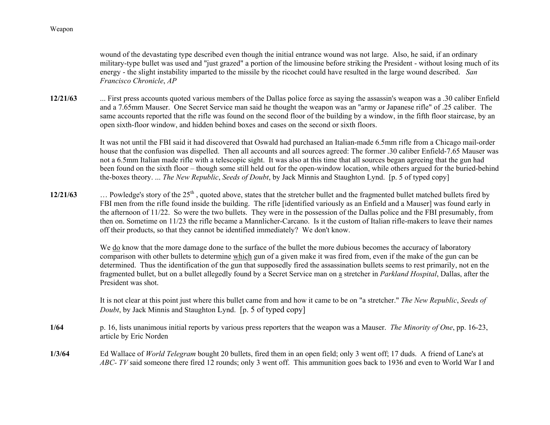wound of the devastating type described even though the initial entrance wound was not large. Also, he said, if an ordinary military-type bullet was used and "just grazed" a portion of the limousine before striking the President - without losing much of its energy - the slight instability imparted to the missile by the ricochet could have resulted in the large wound described. *San Francisco Chronicle*, *AP*

**12/21/63** ... First press accounts quoted various members of the Dallas police force as saying the assassin's weapon was a .30 caliber Enfield and a 7.65mm Mauser. One Secret Service man said he thought the weapon was an "army or Japanese rifle" of .25 caliber. The same accounts reported that the rifle was found on the second floor of the building by a window, in the fifth floor staircase, by an open sixth-floor window, and hidden behind boxes and cases on the second or sixth floors.

> It was not until the FBI said it had discovered that Oswald had purchased an Italian-made 6.5mm rifle from a Chicago mail-order house that the confusion was dispelled. Then all accounts and all sources agreed: The former .30 caliber Enfield-7.65 Mauser was not a 6.5mm Italian made rifle with a telescopic sight. It was also at this time that all sources began agreeing that the gun had been found on the sixth floor – though some still held out for the open-window location, while others argued for the buried-behind the-boxes theory. ... *The New Republic*, *Seeds of Doubt*, by Jack Minnis and Staughton Lynd. [p. 5 of typed copy]

**12/21/63** $\ldots$  Powledge's story of the 25<sup>th</sup>, quoted above, states that the stretcher bullet and the fragmented bullet matched bullets fired by FBI men from the rifle found inside the building. The rifle [identified variously as an Enfield and a Mauser] was found early in the afternoon of 11/22. So were the two bullets. They were in the possession of the Dallas police and the FBI presumably, from then on. Sometime on 11/23 the rifle became a Mannlicher-Carcano. Is it the custom of Italian rifle-makers to leave their names off their products, so that they cannot be identified immediately? We don't know.

> We do know that the more damage done to the surface of the bullet the more dubious becomes the accuracy of laboratory comparison with other bullets to determine which gun of a given make it was fired from, even if the make of the gun can be determined. Thus the identification of the gun that supposedly fired the assassination bullets seems to rest primarily, not en the fragmented bullet, but on a bullet allegedly found by a Secret Service man on a stretcher in *Parkland Hospital*, Dallas, after the President was shot.

> It is not clear at this point just where this bullet came from and how it came to be on "a stretcher." *The New Republic*, *Seeds of Doubt*, by Jack Minnis and Staughton Lynd. [p. 5 of typed copy]

- **1/64** p. 16, lists unanimous initial reports by various press reporters that the weapon was a Mauser. *The Minority of One*, pp. 16-23, article by Eric Norden
- **1/3/64** Ed Wallace of *World Telegram* bought 20 bullets, fired them in an open field; only 3 went off; 17 duds. A friend of Lane's at *ABC- TV* said someone there fired 12 rounds; only 3 went off. This ammunition goes back to 1936 and even to World War I and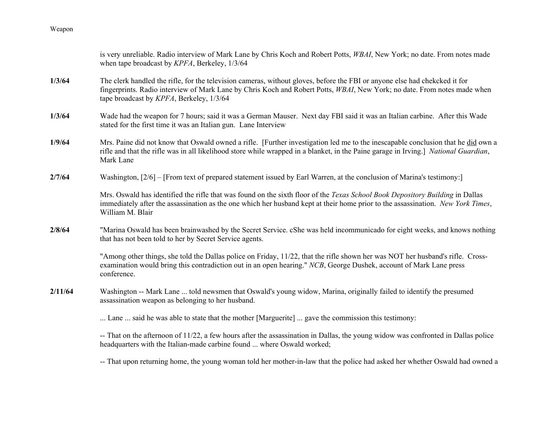|         | is very unreliable. Radio interview of Mark Lane by Chris Koch and Robert Potts, WBAI, New York; no date. From notes made<br>when tape broadcast by KPFA, Berkeley, 1/3/64                                                                                                                         |
|---------|----------------------------------------------------------------------------------------------------------------------------------------------------------------------------------------------------------------------------------------------------------------------------------------------------|
| 1/3/64  | The clerk handled the rifle, for the television cameras, without gloves, before the FBI or anyone else had chekcked it for<br>fingerprints. Radio interview of Mark Lane by Chris Koch and Robert Potts, WBAI, New York; no date. From notes made when<br>tape broadcast by KPFA, Berkeley, 1/3/64 |
| 1/3/64  | Wade had the weapon for 7 hours; said it was a German Mauser. Next day FBI said it was an Italian carbine. After this Wade<br>stated for the first time it was an Italian gun. Lane Interview                                                                                                      |
| 1/9/64  | Mrs. Paine did not know that Oswald owned a rifle. [Further investigation led me to the inescapable conclusion that he did own a<br>rifle and that the rifle was in all likelihood store while wrapped in a blanket, in the Paine garage in Irving.] National Guardian,<br>Mark Lane               |
| 2/7/64  | Washington, [2/6] – [From text of prepared statement issued by Earl Warren, at the conclusion of Marina's testimony:]                                                                                                                                                                              |
|         | Mrs. Oswald has identified the rifle that was found on the sixth floor of the Texas School Book Depository Building in Dallas<br>immediately after the assassination as the one which her husband kept at their home prior to the assassination. New York Times,<br>William M. Blair               |
| 2/8/64  | "Marina Oswald has been brainwashed by the Secret Service. cShe was held incommunicado for eight weeks, and knows nothing<br>that has not been told to her by Secret Service agents.                                                                                                               |
|         | "Among other things, she told the Dallas police on Friday, 11/22, that the rifle shown her was NOT her husband's rifle. Cross-<br>examination would bring this contradiction out in an open hearing." NCB, George Dushek, account of Mark Lane press<br>conference.                                |
| 2/11/64 | Washington -- Mark Lane  told newsmen that Oswald's young widow, Marina, originally failed to identify the presumed<br>assassination weapon as belonging to her husband.                                                                                                                           |
|         | Lane  said he was able to state that the mother [Marguerite]  gave the commission this testimony:                                                                                                                                                                                                  |
|         | -- That on the afternoon of 11/22, a few hours after the assassination in Dallas, the young widow was confronted in Dallas police<br>headquarters with the Italian-made carbine found  where Oswald worked;                                                                                        |
|         | -- That upon returning home, the young woman told her mother-in-law that the police had asked her whether Oswald had owned a                                                                                                                                                                       |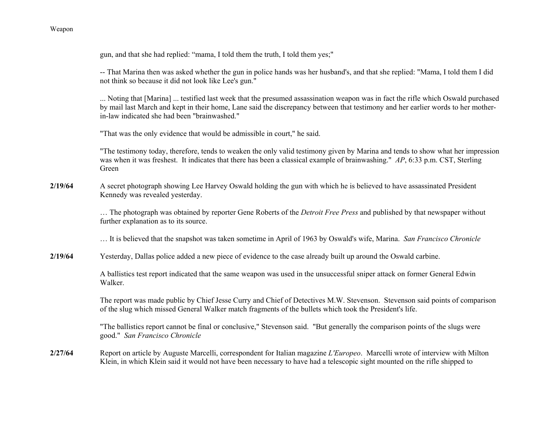gun, and that she had replied: "mama, I told them the truth, I told them yes;"

-- That Marina then was asked whether the gun in police hands was her husband's, and that she replied: "Mama, I told them I did not think so because it did not look like Lee's gun."

... Noting that [Marina] ... testified last week that the presumed assassination weapon was in fact the rifle which Oswald purchased by mail last March and kept in their home, Lane said the discrepancy between that testimony and her earlier words to her motherin-law indicated she had been "brainwashed."

"That was the only evidence that would be admissible in court," he said.

"The testimony today, therefore, tends to weaken the only valid testimony given by Marina and tends to show what her impression was when it was freshest. It indicates that there has been a classical example of brainwashing." *AP*, 6:33 p.m. CST, Sterling Green

**2/19/64** A secret photograph showing Lee Harvey Oswald holding the gun with which he is believed to have assassinated President Kennedy was revealed yesterday.

> … The photograph was obtained by reporter Gene Roberts of the *Detroit Free Press* and published by that newspaper without further explanation as to its source.

… It is believed that the snapshot was taken sometime in April of 1963 by Oswald's wife, Marina. *San Francisco Chronicle*

**2/19/64**Yesterday, Dallas police added a new piece of evidence to the case already built up around the Oswald carbine.

> A ballistics test report indicated that the same weapon was used in the unsuccessful sniper attack on former General Edwin Walker.

The report was made public by Chief Jesse Curry and Chief of Detectives M.W. Stevenson. Stevenson said points of comparison of the slug which missed General Walker match fragments of the bullets which took the President's life.

"The ballistics report cannot be final or conclusive," Stevenson said. "But generally the comparison points of the slugs were good." *San Francisco Chronicle*

**2/27/64** Report on article by Auguste Marcelli, correspondent for Italian magazine *L'Europeo*. Marcelli wrote of interview with Milton Klein, in which Klein said it would not have been necessary to have had a telescopic sight mounted on the rifle shipped to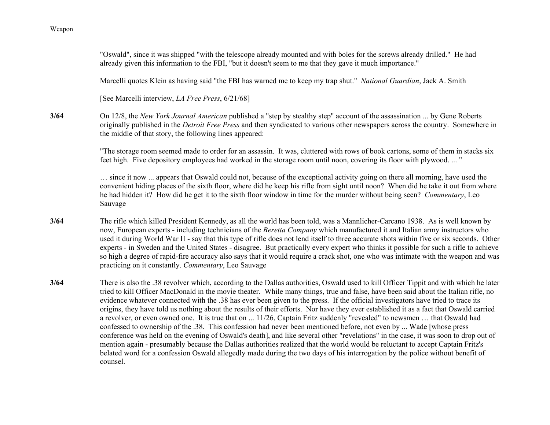**3/64**

**3/64**

**3/64**

"Oswald", since it was shipped "with the telescope already mounted and with boles for the screws already drilled." He had already given this information to the FBI, "but it doesn't seem to me that they gave it much importance." Marcelli quotes Klein as having said "the FBI has warned me to keep my trap shut." *National Guardian*, Jack A. Smith [See Marcelli interview, *LA Free Press*, 6/21/68] On 12/8, the *New York Journal American* published a "step by stealthy step" account of the assassination ... by Gene Roberts originally published in the *Detroit Free Press* and then syndicated to various other newspapers across the country. Somewhere in the middle of that story, the following lines appeared: "The storage room seemed made to order for an assassin. It was, cluttered with rows of book cartons, some of them in stacks six feet high. Five depository employees had worked in the storage room until noon, covering its floor with plywood. ... " … since it now ... appears that Oswald could not, because of the exceptional activity going on there all morning, have used the convenient hiding places of the sixth floor, where did he keep his rifle from sight until noon? When did he take it out from where he had hidden it? How did he get it to the sixth floor window in time for the murder without being seen? *Commentary*, Leo Sauvage The rifle which killed President Kennedy, as all the world has been told, was a Mannlicher-Carcano 1938. As is well known by now, European experts - including technicians of the *Beretta Company* which manufactured it and Italian army instructors who used it during World War II - say that this type of rifle does not lend itself to three accurate shots within five or six seconds. Other experts - in Sweden and the United States - disagree. But practically every expert who thinks it possible for such a rifle to achieve so high a degree of rapid-fire accuracy also says that it would require a crack shot, one who was intimate with the weapon and was practicing on it constantly. *Commentary*, Leo Sauvage There is also the .38 revolver which, according to the Dallas authorities, Oswald used to kill Officer Tippit and with which he later tried to kill Officer MacDonald in the movie theater. While many things, true and false, have been said about the Italian rifle, no evidence whatever connected with the .38 has ever been given to the press. If the official investigators have tried to trace its origins, they have told us nothing about the results of their efforts. Nor have they ever established it as a fact that Oswald carried a revolver, or even owned one. It is true that on ... 11/26, Captain Fritz suddenly "revealed" to newsmen … that Oswald had confessed to ownership of the .38. This confession had never been mentioned before, not even by ... Wade [whose press conference was held on the evening of Oswald's death], and like several other "revelations" in the case, it was soon to drop out of mention again - presumably because the Dallas authorities realized that the world would be reluctant to accept Captain Fritz's belated word for a confession Oswald allegedly made during the two days of his interrogation by the police without benefit of counsel.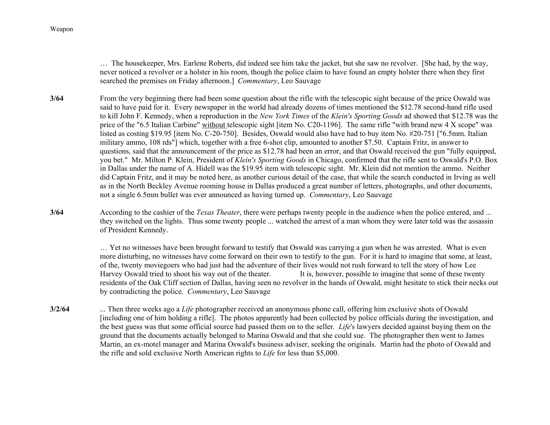… The housekeeper, Mrs. Earlene Roberts, did indeed see him take the jacket, but she saw no revolver. [She had, by the way, never noticed a revolver or a holster in his room, though the police claim to have found an empty holster there when they first searched the premises on Friday afternoon.] *Commentary*, Leo Sauvage

**3/64** From the very beginning there had been some question about the rifle with the telescopic sight because of the price Oswald was said to have paid for it. Every newspaper in the world had already dozens of times mentioned the \$12.78 second-hand rifle used to kill John F. Kennedy, when a reproduction in the *New York Times* of the *Klein's Sporting Goods* ad showed that \$12.78 was the price of the "6.5 Italian Carbine" without telescopic sight [item No. C20-1196]. The same rifle "with brand new 4 X scope" was listed as costing \$19.95 [item No. C-20-750]. Besides, Oswald would also have had to buy item No. #20-751 ["6.5mm. Italian military ammo, 108 rds"] which, together with a free 6-shot clip, amounted to another \$7.50. Captain Fritz, in answer to questions, said that the announcement of the price as \$12.78 had been an error, and that Oswald received the gun "fully equipped, you bet." Mr. Milton P. Klein, President of *Klein's Sporting Goods* in Chicago, confirmed that the rifle sent to Oswald's P.O. Box in Dallas under the name of A. Hidell was the \$19.95 item with telescopic sight. Mr. Klein did not mention the ammo. Neither did Captain Fritz, and it may be noted here, as another curious detail of the case, that while the search conducted in Irving as well as in the North Beckley Avenue rooming house in Dallas produced a great number of letters, photographs, and other documents, not a single 6.5mm bullet was ever announced as having turned up. *Commentary*, Leo Sauvage

**3/64** According to the cashier of the *Texas Theater*, there were perhaps twenty people in the audience when the police entered, and ... they switched on the lights. Thus some twenty people ... watched the arrest of a man whom they were later told was the assassin of President Kennedy.

> … Yet no witnesses have been brought forward to testify that Oswald was carrying a gun when he was arrested. What is even more disturbing, no witnesses have come forward on their own to testify to the gun. For it is hard to imagine that some, at least, of the, twenty moviegoers who had just had the adventure of their lives would not rush forward to tell the story of how Lee Harvey Oswald tried to shoot his way out of the theater. It is, however, possible to imagine that some of these twenty residents of the Oak Cliff section of Dallas, having seen no revolver in the hands of Oswald, might hesitate to stick their necks out by contradicting the police. *Commentary*, Leo Sauvage

**3/2/64** ... Then three weeks ago a *Life* photographer received an anonymous phone call, offering him exclusive shots of Oswald [including one of him holding a rifle]. The photos apparently had been collected by police officials during the investigation, and the best guess was that some official source had passed them on to the seller. *Life*'s lawyers decided against buying them on the ground that the documents actually belonged to Marina Oswald and that she could sue. The photographer then went to James Martin, an ex-motel manager and Marina Oswald's business adviser, seeking the originals. Martin had the photo of Oswald and the rifle and sold exclusive North American rights to *Life* for less than \$5,000.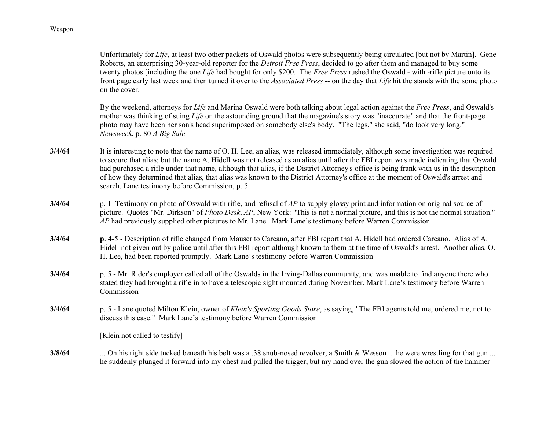Unfortunately for *Life*, at least two other packets of Oswald photos were subsequently being circulated [but not by Martin]. Gene Roberts, an enterprising 30-year-old reporter for the *Detroit Free Press*, decided to go after them and managed to buy some twenty photos [including the one *Life* had bought for only \$200. The *Free Press* rushed the Oswald - with -rifle picture onto its front page early last week and then turned it over to the *Associated Press* -- on the day that *Life* hit the stands with the some photo on the cover.

By the weekend, attorneys for *Life* and Marina Oswald were both talking about legal action against the *Free Press*, and Oswald's mother was thinking of suing *Life* on the astounding ground that the magazine's story was "inaccurate" and that the front-page photo may have been her son's head superimposed on somebody else's body. "The legs," she said, "do look very long." *Newsweek*, p. 80 *A Big Sale*

- **3/4/64** It is interesting to note that the name of O. H. Lee, an alias, was released immediately, although some investigation was required to secure that alias; but the name A. Hidell was not released as an alias until after the FBI report was made indicating that Oswald had purchased a rifle under that name, although that alias, if the District Attorney's office is being frank with us in the description of how they determined that alias, that alias was known to the District Attorney's office at the moment of Oswald's arrest and search. Lane testimony before Commission, p. 5
- **3/4/64** p. 1 Testimony on photo of Oswald with rifle, and refusal of *AP* to supply glossy print and information on original source of picture. Quotes "Mr. Dirkson" of *Photo Desk*, *AP*, New York: "This is not a normal picture, and this is not the normal situation." *AP* had previously supplied other pictures to Mr. Lane. Mark Lane's testimony before Warren Commission
- **3/4/64 p**. 4-5 Description of rifle changed from Mauser to Carcano, after FBI report that A. Hidell had ordered Carcano. Alias of A. Hidell not given out by police until after this FBI report although known to them at the time of Oswald's arrest. Another alias, O. H. Lee, had been reported promptly. Mark Lane's testimony before Warren Commission
- **3/4/64** p. 5 - Mr. Rider's employer called all of the Oswalds in the Irving-Dallas community, and was unable to find anyone there who stated they had brought a rifle in to have a telescopic sight mounted during November. Mark Lane's testimony before Warren Commission
- **3/4/64** p. 5 - Lane quoted Milton Klein, owner of *Klein's Sporting Goods Store*, as saying, "The FBI agents told me, ordered me, not to discuss this case." Mark Lane's testimony before Warren Commission

[Klein not called to testify]

**3/8/64**... On his right side tucked beneath his belt was a .38 snub-nosed revolver, a Smith & Wesson ... he were wrestling for that gun ... he suddenly plunged it forward into my chest and pulled the trigger, but my hand over the gun slowed the action of the hammer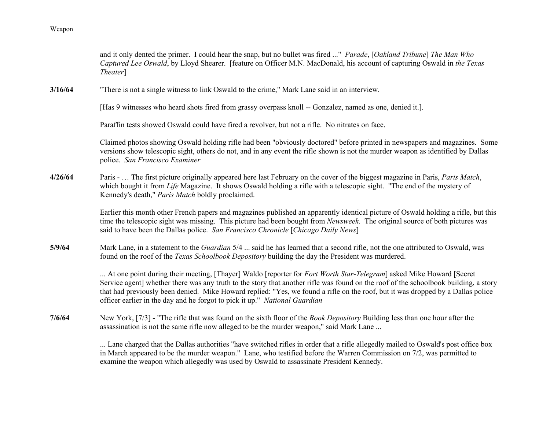|         | and it only dented the primer. I could hear the snap, but no bullet was fired " Parade, [Oakland Tribune] The Man Who<br>Captured Lee Oswald, by Lloyd Shearer. [feature on Officer M.N. MacDonald, his account of capturing Oswald in the Texas<br>Theater <sup>1</sup>                                                                                                                                                                                                     |
|---------|------------------------------------------------------------------------------------------------------------------------------------------------------------------------------------------------------------------------------------------------------------------------------------------------------------------------------------------------------------------------------------------------------------------------------------------------------------------------------|
| 3/16/64 | "There is not a single witness to link Oswald to the crime," Mark Lane said in an interview.                                                                                                                                                                                                                                                                                                                                                                                 |
|         | [Has 9 witnesses who heard shots fired from grassy overpass knoll -- Gonzalez, named as one, denied it.].                                                                                                                                                                                                                                                                                                                                                                    |
|         | Paraffin tests showed Oswald could have fired a revolver, but not a rifle. No nitrates on face.                                                                                                                                                                                                                                                                                                                                                                              |
|         | Claimed photos showing Oswald holding rifle had been "obviously doctored" before printed in newspapers and magazines. Some<br>versions show telescopic sight, others do not, and in any event the rifle shown is not the murder weapon as identified by Dallas<br>police. San Francisco Examiner                                                                                                                                                                             |
| 4/26/64 | Paris -  The first picture originally appeared here last February on the cover of the biggest magazine in Paris, Paris Match,<br>which bought it from Life Magazine. It shows Oswald holding a rifle with a telescopic sight. "The end of the mystery of<br>Kennedy's death," Paris Match boldly proclaimed.                                                                                                                                                                 |
|         | Earlier this month other French papers and magazines published an apparently identical picture of Oswald holding a rifle, but this<br>time the telescopic sight was missing. This picture had been bought from <i>Newsweek</i> . The original source of both pictures was<br>said to have been the Dallas police. San Francisco Chronicle [Chicago Daily News]                                                                                                               |
| 5/9/64  | Mark Lane, in a statement to the <i>Guardian</i> 5/4  said he has learned that a second rifle, not the one attributed to Oswald, was<br>found on the roof of the Texas Schoolbook Depository building the day the President was murdered.                                                                                                                                                                                                                                    |
|         | At one point during their meeting, [Thayer] Waldo [reporter for Fort Worth Star-Telegram] asked Mike Howard [Secret<br>Service agent] whether there was any truth to the story that another rifle was found on the roof of the schoolbook building, a story<br>that had previously been denied. Mike Howard replied: "Yes, we found a rifle on the roof, but it was dropped by a Dallas police<br>officer earlier in the day and he forgot to pick it up." National Guardian |
| 7/6/64  | New York, [7/3] - "The rifle that was found on the sixth floor of the <i>Book Depository</i> Building less than one hour after the<br>assassination is not the same rifle now alleged to be the murder weapon," said Mark Lane                                                                                                                                                                                                                                               |
|         | Lane charged that the Dallas authorities "have switched rifles in order that a rifle allegedly mailed to Oswald's post office box                                                                                                                                                                                                                                                                                                                                            |

in March appeared to be the murder weapon." Lane, who testified before the Warren Commission on 7/2, was permitted to examine the weapon which allegedly was used by Oswald to assassinate President Kennedy.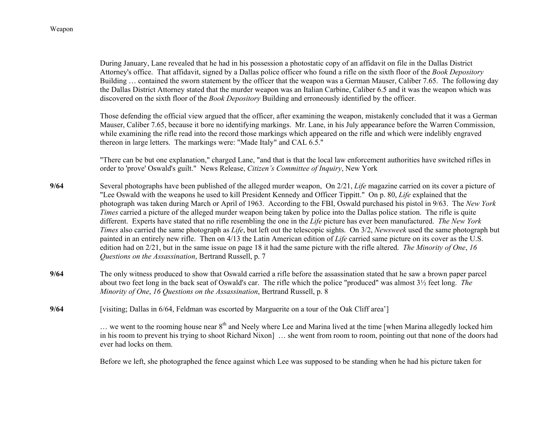During January, Lane revealed that he had in his possession a photostatic copy of an affidavit on file in the Dallas District Attorney's office. That affidavit, signed by a Dallas police officer who found a rifle on the sixth floor of the *Book Depository* Building … contained the sworn statement by the officer that the weapon was a German Mauser, Caliber 7.65. The following day the Dallas District Attorney stated that the murder weapon was an Italian Carbine, Caliber 6.5 and it was the weapon which was discovered on the sixth floor of the *Book Depository* Building and erroneously identified by the officer.

Those defending the official view argued that the officer, after examining the weapon, mistakenly concluded that it was a German Mauser, Caliber 7.65, because it bore no identifying markings. Mr. Lane, in his July appearance before the Warren Commission, while examining the rifle read into the record those markings which appeared on the rifle and which were indelibly engraved thereon in large letters. The markings were: "Made Italy" and CAL 6.5."

"There can be but one explanation," charged Lane, "and that is that the local law enforcement authorities have switched rifles in order to 'prove' Oswald's guilt." News Release, *Citizen's Committee of Inquiry*, New York

- **9/64** Several photographs have been published of the alleged murder weapon, On 2/21, *Life* magazine carried on its cover a picture of "Lee Oswald with the weapons he used to kill President Kennedy and Officer Tippitt." On p. 80, *Life* explained that the photograph was taken during March or April of 1963. According to the FBI, Oswald purchased his pistol in 9/63. The *New York Times* carried a picture of the alleged murder weapon being taken by police into the Dallas police station. The rifle is quite different. Experts have stated that no rifle resembling the one in the *Life* picture has ever been manufactured. *The New York Times* also carried the same photograph as *Life*, but left out the telescopic sights. On 3/2, *Newsweek* used the same photograph but painted in an entirely new rifle. Then on 4/13 the Latin American edition of *Life* carried same picture on its cover as the U.S. edition had on 2/21, but in the same issue on page 18 it had the same picture with the rifle altered. *The Minority of One*, *16 Questions on the Assassination*, Bertrand Russell, p. 7
- **9/64** The only witness produced to show that Oswald carried a rifle before the assassination stated that he saw a brown paper parcel about two feet long in the back seat of Oswald's car. The rifle which the police "produced" was almost 3½ feet long. *The Minority of One*, *16 Questions on the Assassination*, Bertrand Russell, p. 8
- **9/64**[visiting; Dallas in 6/64, Feldman was escorted by Marguerite on a tour of the Oak Cliff area']

 $\ldots$  we went to the rooming house near  $8<sup>th</sup>$  and Neely where Lee and Marina lived at the time [when Marina allegedly locked him in his room to prevent his trying to shoot Richard Nixon] … she went from room to room, pointing out that none of the doors had ever had locks on them.

Before we left, she photographed the fence against which Lee was supposed to be standing when he had his picture taken for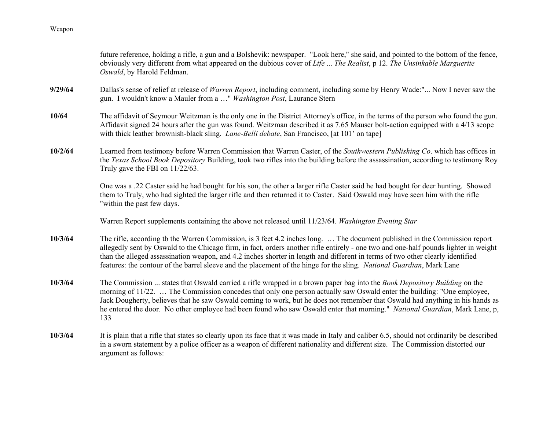future reference, holding a rifle, a gun and a Bolshevik: newspaper. "Look here," she said, and pointed to the bottom of the fence, obviously very different from what appeared on the dubious cover of *Life* ... *The Realist*, p 12. *The Unsinkable Marguerite Oswald*, by Harold Feldman. **9/29/64** Dallas's sense of relief at release of *Warren Report*, including comment, including some by Henry Wade:"... Now I never saw the gun. I wouldn't know a Mauler from a …" *Washington Post*, Laurance Stern **10/64** The affidavit of Seymour Weitzman is the only one in the District Attorney's office, in the terms of the person who found the gun. Affidavit signed 24 hours after the gun was found. Weitzman described it as 7.65 Mauser bolt-action equipped with a 4/13 scope with thick leather brownish-black sling. *Lane-Belli debate*, San Francisco, [at 101' on tape] **10/2/64** Learned from testimony before Warren Commission that Warren Caster, of the *Southwestern Publishing Co*. which has offices in the *Texas School Book Depository* Building, took two rifles into the building before the assassination, according to testimony Roy Truly gave the FBI on 11/22/63. One was a .22 Caster said he had bought for his son, the other a larger rifle Caster said he had bought for deer hunting. Showed them to Truly, who had sighted the larger rifle and then returned it to Caster. Said Oswald may have seen him with the rifle "within the past few days. Warren Report supplements containing the above not released until 11/23/64. *Washington Evening Star* **10/3/64** The rifle, according tb the Warren Commission, is 3 feet 4.2 inches long. … The document published in the Commission report allegedly sent by Oswald to the Chicago firm, in fact, orders another rifle entirely - one two and one-half pounds lighter in weight than the alleged assassination weapon, and 4.2 inches shorter in length and different in terms of two other clearly identified features: the contour of the barrel sleeve and the placement of the hinge for the sling. *National Guardian*, Mark Lane **10/3/64** The Commission ... states that Oswald carried a rifle wrapped in a brown paper bag into the *Book Depository Building* on the morning of 11/22. … The Commission concedes that only one person actually saw Oswald enter the building: "One employee, Jack Dougherty, believes that he saw Oswald coming to work, but he does not remember that Oswald had anything in his hands as he entered the door. No other employee had been found who saw Oswald enter that morning." *National Guardian*, Mark Lane, p, 133**10/3/64** It is plain that a rifle that states so clearly upon its face that it was made in Italy and caliber 6.5, should not ordinarily be described in a sworn statement by a police officer as a weapon of different nationality and different size. The Commission distorted our argument as follows: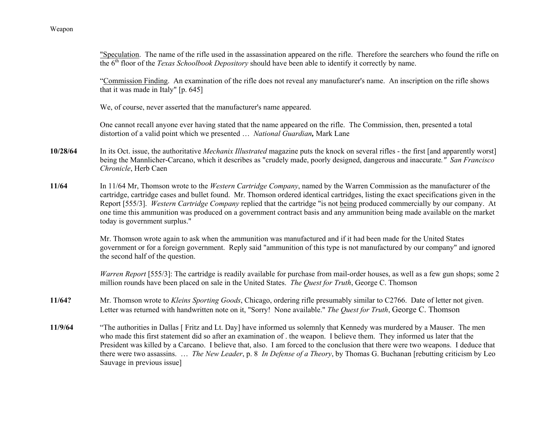"Speculation. The name of the rifle used in the assassination appeared on the rifle. Therefore the searchers who found the rifle on the 6th floor of the *Texas Schoolbook Depository* should have been able to identify it correctly by name.

"Commission Finding. An examination of the rifle does not reveal any manufacturer's name. An inscription on the rifle shows that it was made in Italy" [p. 645]

We, of course, never asserted that the manufacturer's name appeared.

One cannot recall anyone ever having stated that the name appeared on the rifle. The Commission, then, presented a total distortion of a valid point which we presented … *National Guardian,* Mark Lane

- **10/28/64** In its Oct. issue, the authoritative *Mechanix Illustrated* magazine puts the knock on several rifles - the first [and apparently worst] being the Mannlicher-Carcano, which it describes as "crudely made, poorly designed, dangerous and inaccurate*." San Francisco Chronicle*, Herb Caen
- **11/64** In 11/64 Mr, Thomson wrote to the *Western Cartridge Company*, named by the Warren Commission as the manufacturer of the cartridge, cartridge cases and bullet found. Mr. Thomson ordered identical cartridges, listing the exact specifications given in the Report [555/3]. *Western Cartridge Company* replied that the cartridge "is not being produced commercially by our company. At one time this ammunition was produced on a government contract basis and any ammunition being made available on the market today is government surplus."

Mr. Thomson wrote again to ask when the ammunition was manufactured and if it had been made for the United States government or for a foreign government. Reply said "ammunition of this type is not manufactured by our company" and ignored the second half of the question.

*Warren Report* [555/3]: The cartridge is readily available for purchase from mail-order houses, as well as a few gun shops; some 2 million rounds have been placed on sale in the United States. *The Quest for Truth*, George C. Thomson

- **11/64?** Mr. Thomson wrote to *Kleins Sporting Goods*, Chicago, ordering rifle presumably similar to C2766. Date of letter not given. Letter was returned with handwritten note on it, "Sorry! None available." *The Quest for Truth*, George C. Thomson
- **11/9/64** "The authorities in Dallas [ Fritz and Lt. Day] have informed us solemnly that Kennedy was murdered by a Mauser. The men who made this first statement did so after an examination of . the weapon. I believe them. They informed us later that the President was killed by a Carcano. I believe that, also. I am forced to the conclusion that there were two weapons. I deduce that there were two assassins. … *The New Leader*, p. 8 *In Defense of a Theory*, by Thomas G. Buchanan [rebutting criticism by Leo Sauvage in previous issue]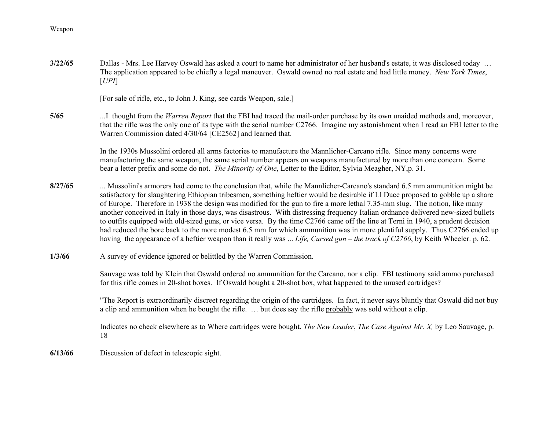**3/22/65**Dallas - Mrs. Lee Harvey Oswald has asked a court to name her administrator of her husband's estate, it was disclosed today ... The application appeared to be chiefly a legal maneuver. Oswald owned no real estate and had little money. *New York Times*, [*UPI*]

[For sale of rifle, etc., to John J. King, see cards Weapon, sale.]

**5/65** ...I thought from the *Warren Report* that the FBI had traced the mail-order purchase by its own unaided methods and, moreover, that the rifle was the only one of its type with the serial number C2766. Imagine my astonishment when I read an FBI letter to the Warren Commission dated 4/30/64 [CE2562] and learned that.

> In the 1930s Mussolini ordered all arms factories to manufacture the Mannlicher-Carcano rifle. Since many concerns were manufacturing the same weapon, the same serial number appears on weapons manufactured by more than one concern. Some bear a letter prefix and some do not. *The Minority of One*, Letter to the Editor, Sylvia Meagher, NY,p. 31.

- **8/27/65** ... Mussolini's armorers had come to the conclusion that, while the Mannlicher-Carcano's standard 6.5 mm ammunition might be satisfactory for slaughtering Ethiopian tribesmen, something heftier would be desirable if Ll Duce proposed to gobble up a share of Europe. Therefore in 1938 the design was modified for the gun to fire a more lethal 7.35-mm slug. The notion, like many another conceived in Italy in those days, was disastrous. With distressing frequency Italian ordnance delivered new-sized bullets to outfits equipped with old-sized guns, or vice versa. By the time C2766 came off the line at Terni in 1940, a prudent decision had reduced the bore back to the more modest 6.5 mm for which ammunition was in more plentiful supply. Thus C2766 ended up having the appearance of a heftier weapon than it really was ... *Life, Cursed gun – the track of C2766*, by Keith Wheeler. p. 62.
- **1/3/66**A survey of evidence ignored or belittled by the Warren Commission.

Sauvage was told by Klein that Oswald ordered no ammunition for the Carcano, nor a clip. FBI testimony said ammo purchased for this rifle comes in 20-shot boxes. If Oswald bought a 20-shot box, what happened to the unused cartridges?

"The Report is extraordinarily discreet regarding the origin of the cartridges. In fact, it never says bluntly that Oswald did not buy a clip and ammunition when he bought the rifle. … but does say the rifle probably was sold without a clip.

Indicates no check elsewhere as to Where cartridges were bought. *The New Leader*, *The Case Against Mr. X,* by Leo Sauvage, p. 18

**6/13/66**Discussion of defect in telescopic sight.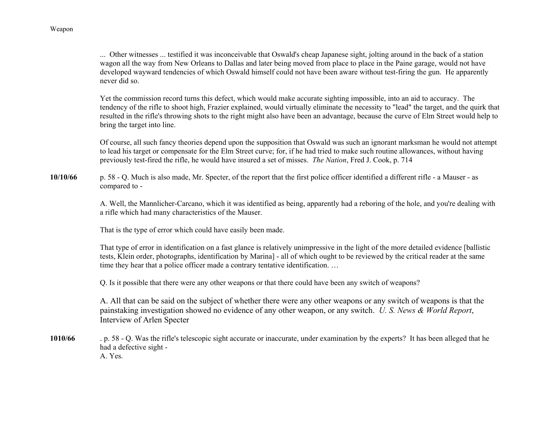... Other witnesses ... testified it was inconceivable that Oswald's cheap Japanese sight, jolting around in the back of a station wagon all the way from New Orleans to Dallas and later being moved from place to place in the Paine garage, would not have developed wayward tendencies of which Oswald himself could not have been aware without test-firing the gun. He apparently never did so.

Yet the commission record turns this defect, which would make accurate sighting impossible, into an aid to accuracy. The tendency of the rifle to shoot high, Frazier explained, would virtually eliminate the necessity to "lead" the target, and the quirk that resulted in the rifle's throwing shots to the right might also have been an advantage, because the curve of Elm Street would help to bring the target into line.

Of course, all such fancy theories depend upon the supposition that Oswald was such an ignorant marksman he would not attempt to lead his target or compensate for the Elm Street curve; for, if he had tried to make such routine allowances, without having previously test-fired the rifle, he would have insured a set of misses. *The Nation*, Fred J. Cook, p. 714

**10/10/66** p. 58 - Q. Much is also made, Mr. Specter, of the report that the first police officer identified a different rifle - a Mauser - as compared to -

> A. Well, the Mannlicher-Carcano, which it was identified as being, apparently had a reboring of the hole, and you're dealing with a rifle which had many characteristics of the Mauser.

That is the type of error which could have easily been made.

That type of error in identification on a fast glance is relatively unimpressive in the light of the more detailed evidence [ballistic tests, Klein order, photographs, identification by Marina] - all of which ought to be reviewed by the critical reader at the same time they hear that a police officer made a contrary tentative identification. …

Q. Is it possible that there were any other weapons or that there could have been any switch of weapons?

A. All that can be said on the subject of whether there were any other weapons or any switch of weapons is that the painstaking investigation showed no evidence of any other weapon, or any switch. *U. S. News & World Report*, Interview of Arlen Specter

**1010/66** . p. 58 - Q. Was the rifle's telescopic sight accurate or inaccurate, under examination by the experts? It has been alleged that he had a defective sight - A. Yes.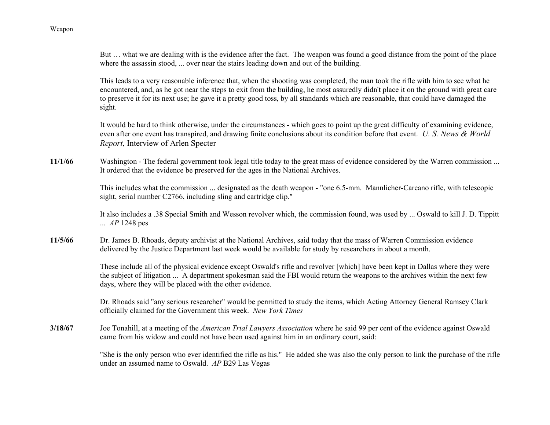But ... what we are dealing with is the evidence after the fact. The weapon was found a good distance from the point of the place where the assassin stood, ... over near the stairs leading down and out of the building.

This leads to a very reasonable inference that, when the shooting was completed, the man took the rifle with him to see what he encountered, and, as he got near the steps to exit from the building, he most assuredly didn't place it on the ground with great care to preserve it for its next use; he gave it a pretty good toss, by all standards which are reasonable, that could have damaged the sight.

It would be hard to think otherwise, under the circumstances - which goes to point up the great difficulty of examining evidence, even after one event has transpired, and drawing finite conclusions about its condition before that event. *U. S. News & World Report*, Interview of Arlen Specter

**11/1/66**Washington - The federal government took legal title today to the great mass of evidence considered by the Warren commission ... It ordered that the evidence be preserved for the ages in the National Archives.

> This includes what the commission ... designated as the death weapon - "one 6.5-mm. Mannlicher-Carcano rifle, with telescopic sight, serial number C2766, including sling and cartridge clip."

It also includes a .38 Special Smith and Wesson revolver which, the commission found, was used by ... Oswald to kill J. D. Tippitt ... *AP* 1248 pes

**11/5/66** Dr. James B. Rhoads, deputy archivist at the National Archives, said today that the mass of Warren Commission evidence delivered by the Justice Department last week would be available for study by researchers in about a month.

> These include all of the physical evidence except Oswald's rifle and revolver [which] have been kept in Dallas where they were the subject of litigation ... A department spokesman said the FBI would return the weapons to the archives within the next few days, where they will be placed with the other evidence.

> Dr. Rhoads said "any serious researcher" would be permitted to study the items, which Acting Attorney General Ramsey Clark officially claimed for the Government this week. *New York Times*

**3/18/67** Joe Tonahill, at a meeting of the *American Trial Lawyers Association* where he said 99 per cent of the evidence against Oswald came from his widow and could not have been used against him in an ordinary court, said:

> "She is the only person who ever identified the rifle as his." He added she was also the only person to link the purchase of the rifle under an assumed name to Oswald. *AP* B29 Las Vegas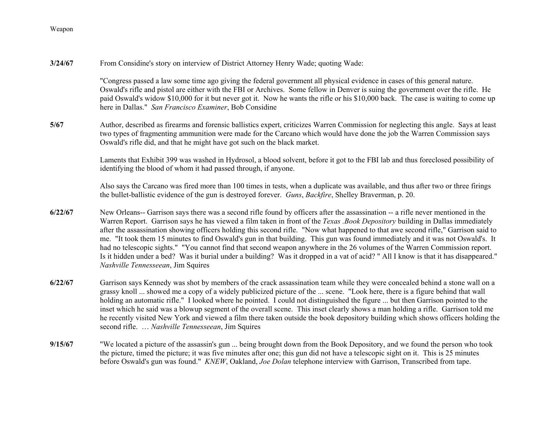**3/24/67**From Considine's story on interview of District Attorney Henry Wade; quoting Wade:

> "Congress passed a law some time ago giving the federal government all physical evidence in cases of this general nature. Oswald's rifle and pistol are either with the FBI or Archives. Some fellow in Denver is suing the government over the rifle. He paid Oswald's widow \$10,000 for it but never got it. Now he wants the rifle or his \$10,000 back. The case is waiting to come up here in Dallas." *San Francisco Examiner*, Bob Considine

**5/67** Author, described as firearms and forensic ballistics expert, criticizes Warren Commission for neglecting this angle. Says at least two types of fragmenting ammunition were made for the Carcano which would have done the job the Warren Commission says Oswald's rifle did, and that he might have got such on the black market.

> Laments that Exhibit 399 was washed in Hydrosol, a blood solvent, before it got to the FBI lab and thus foreclosed possibility of identifying the blood of whom it had passed through, if anyone.

> Also says the Carcano was fired more than 100 times in tests, when a duplicate was available, and thus after two or three firings the bullet-ballistic evidence of the gun is destroyed forever. *Guns*, *Backfire*, Shelley Braverman, p. 20.

- **6/22/67** New Orleans-- Garrison says there was a second rifle found by officers after the assassination -- a rifle never mentioned in the Warren Report. Garrison says he has viewed a film taken in front of the *Texas .Book Depository* building in Dallas immediately after the assassination showing officers holding this second rifle. "Now what happened to that awe second rifle," Garrison said to me. "It took them 15 minutes to find Oswald's gun in that building. This gun was found immediately and it was not Oswald's. It had no telescopic sights." "You cannot find that second weapon anywhere in the 26 volumes of the Warren Commission report. Is it hidden under a bed? Was it burial under a building? Was it dropped in a vat of acid? " All I know is that it has disappeared." *Nashville Tennesseean*, Jim Squires
- **6/22/67** Garrison says Kennedy was shot by members of the crack assassination team while they were concealed behind a stone wall on a grassy knoll ... showed me a copy of a widely publicized picture of the ... scene. "Look here, there is a figure behind that wall holding an automatic rifle." I looked where he pointed. I could not distinguished the figure ... but then Garrison pointed to the inset which he said was a blowup segment of the overall scene. This inset clearly shows a man holding a rifle. Garrison told me he recently visited New York and viewed a film there taken outside the book depository building which shows officers holding the second rifle. … *Nashville Tennesseean*, Jim Squires
- **9/15/67** "We located a picture of the assassin's gun ... being brought down from the Book Depository, and we found the person who took the picture, timed the picture; it was five minutes after one; this gun did not have a telescopic sight on it. This is 25 minutes before Oswald's gun was found." *KNEW*, Oakland, *Joe Dolan* telephone interview with Garrison, Transcribed from tape.